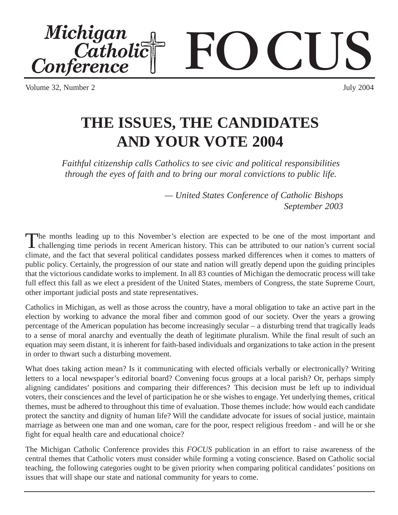Volume 32, Number 2

# **THE ISSUES, THE CANDIDATES AND YOUR VOTE 2004**

*Faithful citizenship calls Catholics to see civic and political responsibilities through the eyes of faith and to bring our moral convictions to public life.*

> *— United States Conference of Catholic Bishops September 2003*

The months leading up to this November's election are expected to be one of the most important and challenging time periods in recent American history. This can be attributed to our nation's current social climate, and the fact that several political candidates possess marked differences when it comes to matters of public policy. Certainly, the progression of our state and nation will greatly depend upon the guiding principles that the victorious candidate works to implement. In all 83 counties of Michigan the democratic process will take full effect this fall as we elect a president of the United States, members of Congress, the state Supreme Court, other important judicial posts and state representatives.

Catholics in Michigan, as well as those across the country, have a moral obligation to take an active part in the election by working to advance the moral fiber and common good of our society. Over the years a growing percentage of the American population has become increasingly secular – a disturbing trend that tragically leads to a sense of moral anarchy and eventually the death of legitimate pluralism. While the final result of such an equation may seem distant, it is inherent for faith-based individuals and organizations to take action in the present in order to thwart such a disturbing movement.

What does taking action mean? Is it communicating with elected officials verbally or electronically? Writing letters to a local newspaper's editorial board? Convening focus groups at a local parish? Or, perhaps simply aligning candidates' positions and comparing their differences? This decision must be left up to individual voters, their consciences and the level of participation he or she wishes to engage. Yet underlying themes, critical themes, must be adhered to throughout this time of evaluation. Those themes include: how would each candidate protect the sanctity and dignity of human life? Will the candidate advocate for issues of social justice, maintain marriage as between one man and one woman, care for the poor, respect religious freedom - and will he or she fight for equal health care and educational choice?

The Michigan Catholic Conference provides this *FOCUS* publication in an effort to raise awareness of the central themes that Catholic voters must consider while forming a voting conscience. Based on Catholic social teaching, the following categories ought to be given priority when comparing political candidates' positions on issues that will shape our state and national community for years to come.

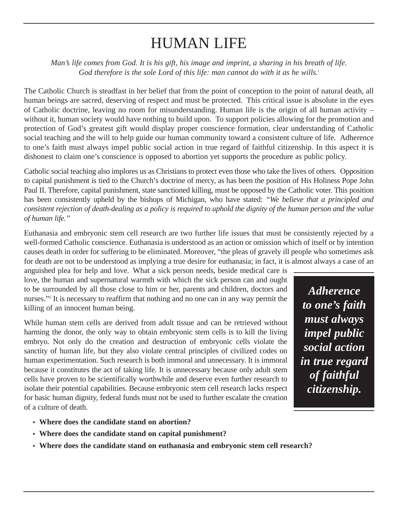## HUMAN LIFE

*Man's life comes from God. It is his gift, his image and imprint, a sharing in his breath of life.*  God therefore is the sole Lord of this life: man cannot do with it as he wills.<sup>*i*</sup>

The Catholic Church is steadfast in her belief that from the point of conception to the point of natural death, all human beings are sacred, deserving of respect and must be protected. This critical issue is absolute in the eyes of Catholic doctrine, leaving no room for misunderstanding. Human life is the origin of all human activity – without it, human society would have nothing to build upon. To support policies allowing for the promotion and protection of God's greatest gift would display proper conscience formation, clear understanding of Catholic social teaching and the will to help guide our human community toward a consistent culture of life. Adherence to one's faith must always impel public social action in true regard of faithful citizenship. In this aspect it is dishonest to claim one's conscience is opposed to abortion yet supports the procedure as public policy.

Catholic social teaching also implores us as Christians to protect even those who take the lives of others. Opposition to capital punishment is tied to the Church's doctrine of mercy, as has been the position of His Holiness Pope John Paul II. Therefore, capital punishment, state sanctioned killing, must be opposed by the Catholic voter. This position has been consistently upheld by the bishops of Michigan, who have stated: *"We believe that a principled and consistent rejection of death-dealing as a policy is required to uphold the dignity of the human person and the value of human life."*

Euthanasia and embryonic stem cell research are two further life issues that must be consistently rejected by a well-formed Catholic conscience. Euthanasia is understood as an action or omission which of itself or by intention causes death in order for suffering to be eliminated. Moreover, "the pleas of gravely ill people who sometimes ask for death are not to be understood as implying a true desire for euthanasia; in fact, it is almost always a case of an

anguished plea for help and love. What a sick person needs, beside medical care is love, the human and supernatural warmth with which the sick person can and ought to be surrounded by all those close to him or her, parents and children, doctors and nurses."<sup>ii</sup> It is necessary to reaffirm that nothing and no one can in any way permit the killing of an innocent human being.

While human stem cells are derived from adult tissue and can be retrieved without harming the donor, the only way to obtain embryonic stem cells is to kill the living embryo. Not only do the creation and destruction of embryonic cells violate the sanctity of human life, but they also violate central principles of civilized codes on human experimentation. Such research is both immoral and unnecessary. It is immoral because it constitutes the act of taking life. It is unnecessary because only adult stem cells have proven to be scientifically worthwhile and deserve even further research to isolate their potential capabilities. Because embryonic stem cell research lacks respect for basic human dignity, federal funds must not be used to further escalate the creation of a culture of death.

*Adherence to one's faith must always impel public social action in true regard of faithful citizenship.* 

- **• Where does the candidate stand on abortion?**
- **• Where does the candidate stand on capital punishment?**
- **• Where does the candidate stand on euthanasia and embryonic stem cell research?**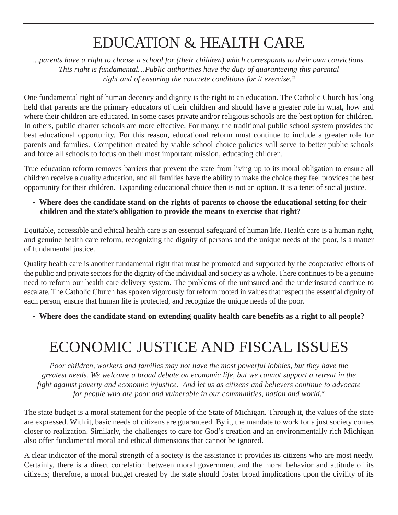# EDUCATION & HEALTH CARE

*…parents have a right to choose a school for (their children) which corresponds to their own convictions. This right is fundamental…Public authorities have the duty of guaranteeing this parental*  right and of ensuring the concrete conditions for it exercise.<sup>iii</sup>

One fundamental right of human decency and dignity is the right to an education. The Catholic Church has long held that parents are the primary educators of their children and should have a greater role in what, how and where their children are educated. In some cases private and/or religious schools are the best option for children. In others, public charter schools are more effective. For many, the traditional public school system provides the best educational opportunity. For this reason, educational reform must continue to include a greater role for parents and families. Competition created by viable school choice policies will serve to better public schools and force all schools to focus on their most important mission, educating children.

True education reform removes barriers that prevent the state from living up to its moral obligation to ensure all children receive a quality education, and all families have the ability to make the choice they feel provides the best opportunity for their children. Expanding educational choice then is not an option. It is a tenet of social justice.

**• Where does the candidate stand on the rights of parents to choose the educational setting for their children and the state's obligation to provide the means to exercise that right?**

Equitable, accessible and ethical health care is an essential safeguard of human life. Health care is a human right, and genuine health care reform, recognizing the dignity of persons and the unique needs of the poor, is a matter of fundamental justice.

Quality health care is another fundamental right that must be promoted and supported by the cooperative efforts of the public and private sectors for the dignity of the individual and society as a whole. There continues to be a genuine need to reform our health care delivery system. The problems of the uninsured and the underinsured continue to escalate. The Catholic Church has spoken vigorously for reform rooted in values that respect the essential dignity of each person, ensure that human life is protected, and recognize the unique needs of the poor.

**• Where does the candidate stand on extending quality health care benefits as a right to all people?**

# ECONOMIC JUSTICE AND FISCAL ISSUES

*Poor children, workers and families may not have the most powerful lobbies, but they have the greatest needs. We welcome a broad debate on economic life, but we cannot support a retreat in the fight against poverty and economic injustice. And let us as citizens and believers continue to advocate for people who are poor and vulnerable in our communities, nation and world.iv* 

The state budget is a moral statement for the people of the State of Michigan. Through it, the values of the state are expressed. With it, basic needs of citizens are guaranteed. By it, the mandate to work for a just society comes closer to realization. Similarly, the challenges to care for God's creation and an environmentally rich Michigan also offer fundamental moral and ethical dimensions that cannot be ignored.

A clear indicator of the moral strength of a society is the assistance it provides its citizens who are most needy. Certainly, there is a direct correlation between moral government and the moral behavior and attitude of its citizens; therefore, a moral budget created by the state should foster broad implications upon the civility of its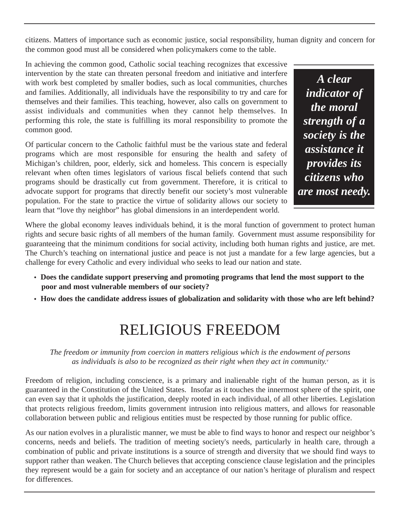citizens. Matters of importance such as economic justice, social responsibility, human dignity and concern for the common good must all be considered when policymakers come to the table.

In achieving the common good, Catholic social teaching recognizes that excessive intervention by the state can threaten personal freedom and initiative and interfere with work best completed by smaller bodies, such as local communities, churches and families. Additionally, all individuals have the responsibility to try and care for themselves and their families. This teaching, however, also calls on government to assist individuals and communities when they cannot help themselves. In performing this role, the state is fulfilling its moral responsibility to promote the common good.

Of particular concern to the Catholic faithful must be the various state and federal programs which are most responsible for ensuring the health and safety of Michigan's children, poor, elderly, sick and homeless. This concern is especially relevant when often times legislators of various fiscal beliefs contend that such programs should be drastically cut from government. Therefore, it is critical to advocate support for programs that directly benefit our society's most vulnerable population. For the state to practice the virtue of solidarity allows our society to learn that "love thy neighbor" has global dimensions in an interdependent world.

*A clear indicator of the moral strength of a society is the assistance it provides its citizens who are most needy.*

Where the global economy leaves individuals behind, it is the moral function of government to protect human rights and secure basic rights of all members of the human family. Government must assume responsibility for guaranteeing that the minimum conditions for social activity, including both human rights and justice, are met. The Church's teaching on international justice and peace is not just a mandate for a few large agencies, but a challenge for every Catholic and every individual who seeks to lead our nation and state.

- **• Does the candidate support preserving and promoting programs that lend the most support to the poor and most vulnerable members of our society?**
- **• How does the candidate address issues of globalization and solidarity with those who are left behind?**

### RELIGIOUS FREEDOM

*The freedom or immunity from coercion in matters religious which is the endowment of persons as individuals is also to be recognized as their right when they act in community.* 

Freedom of religion, including conscience, is a primary and inalienable right of the human person, as it is guaranteed in the Constitution of the United States. Insofar as it touches the innermost sphere of the spirit, one can even say that it upholds the justification, deeply rooted in each individual, of all other liberties. Legislation that protects religious freedom, limits government intrusion into religious matters, and allows for reasonable collaboration between public and religious entities must be respected by those running for public office.

As our nation evolves in a pluralistic manner, we must be able to find ways to honor and respect our neighbor's concerns, needs and beliefs. The tradition of meeting society's needs, particularly in health care, through a combination of public and private institutions is a source of strength and diversity that we should find ways to support rather than weaken. The Church believes that accepting conscience clause legislation and the principles they represent would be a gain for society and an acceptance of our nation's heritage of pluralism and respect for differences.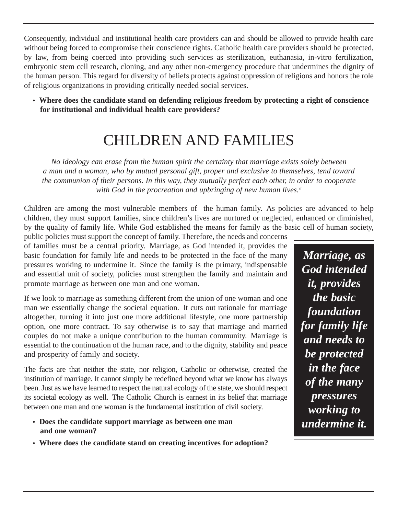Consequently, individual and institutional health care providers can and should be allowed to provide health care without being forced to compromise their conscience rights. Catholic health care providers should be protected, by law, from being coerced into providing such services as sterilization, euthanasia, in-vitro fertilization, embryonic stem cell research, cloning, and any other non-emergency procedure that undermines the dignity of the human person. This regard for diversity of beliefs protects against oppression of religions and honors the role of religious organizations in providing critically needed social services.

**• Where does the candidate stand on defending religious freedom by protecting a right of conscience for institutional and individual health care providers?**

## CHILDREN AND FAMILIES

*No ideology can erase from the human spirit the certainty that marriage exists solely between a man and a woman, who by mutual personal gift, proper and exclusive to themselves, tend toward the communion of their persons. In this way, they mutually perfect each other, in order to cooperate*  with God in the procreation and upbringing of new human lives.<sup>vi</sup>

Children are among the most vulnerable members of the human family. As policies are advanced to help children, they must support families, since children's lives are nurtured or neglected, enhanced or diminished, by the quality of family life. While God established the means for family as the basic cell of human society,

public policies must support the concept of family. Therefore, the needs and concerns of families must be a central priority. Marriage, as God intended it, provides the basic foundation for family life and needs to be protected in the face of the many pressures working to undermine it. Since the family is the primary, indispensable and essential unit of society, policies must strengthen the family and maintain and promote marriage as between one man and one woman.

If we look to marriage as something different from the union of one woman and one man we essentially change the societal equation. It cuts out rationale for marriage altogether, turning it into just one more additional lifestyle, one more partnership option, one more contract. To say otherwise is to say that marriage and married couples do not make a unique contribution to the human community. Marriage is essential to the continuation of the human race, and to the dignity, stability and peace and prosperity of family and society.

The facts are that neither the state, nor religion, Catholic or otherwise, created the institution of marriage. It cannot simply be redefined beyond what we know has always been. Just as we have learned to respect the natural ecology of the state, we should respect its societal ecology as well. The Catholic Church is earnest in its belief that marriage between one man and one woman is the fundamental institution of civil society.

- **• Does the candidate support marriage as between one man and one woman?**
- **• Where does the candidate stand on creating incentives for adoption?**

*Marriage, as God intended it, provides the basic foundation for family life and needs to be protected in the face of the many pressures working to undermine it.*